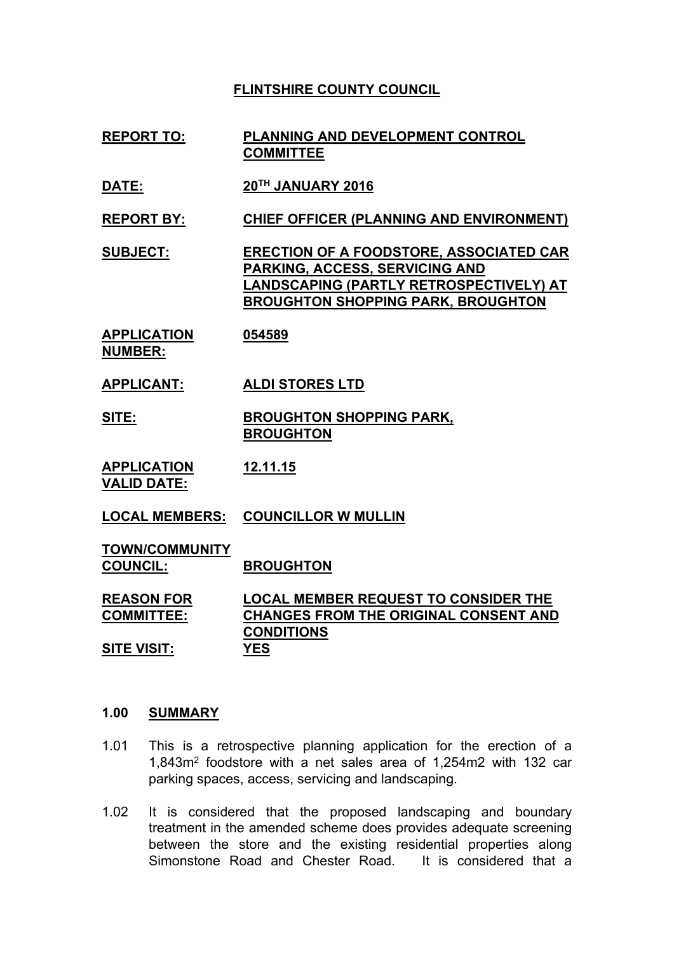## **FLINTSHIRE COUNTY COUNCIL**

- **REPORT TO: PLANNING AND DEVELOPMENT CONTROL COMMITTEE**
- **DATE: 20TH JANUARY 2016**

**REPORT BY: CHIEF OFFICER (PLANNING AND ENVIRONMENT)**

**SUBJECT: ERECTION OF A FOODSTORE, ASSOCIATED CAR PARKING, ACCESS, SERVICING AND LANDSCAPING (PARTLY RETROSPECTIVELY) AT BROUGHTON SHOPPING PARK, BROUGHTON**

- **APPLICATION NUMBER: 054589**
- **APPLICANT: ALDI STORES LTD**
- **SITE: BROUGHTON SHOPPING PARK, BROUGHTON**
- **APPLICATION VALID DATE: 12.11.15**
- **LOCAL MEMBERS: COUNCILLOR W MULLIN**
- **TOWN/COMMUNITY COUNCIL: BROUGHTON**

**REASON FOR COMMITTEE: LOCAL MEMBER REQUEST TO CONSIDER THE CHANGES FROM THE ORIGINAL CONSENT AND CONDITIONS SITE VISIT: YES**

# **1.00 SUMMARY**

- 1.01 This is a retrospective planning application for the erection of a 1,843m<sup>2</sup> foodstore with a net sales area of 1,254m2 with 132 car parking spaces, access, servicing and landscaping.
- 1.02 It is considered that the proposed landscaping and boundary treatment in the amended scheme does provides adequate screening between the store and the existing residential properties along Simonstone Road and Chester Road. It is considered that a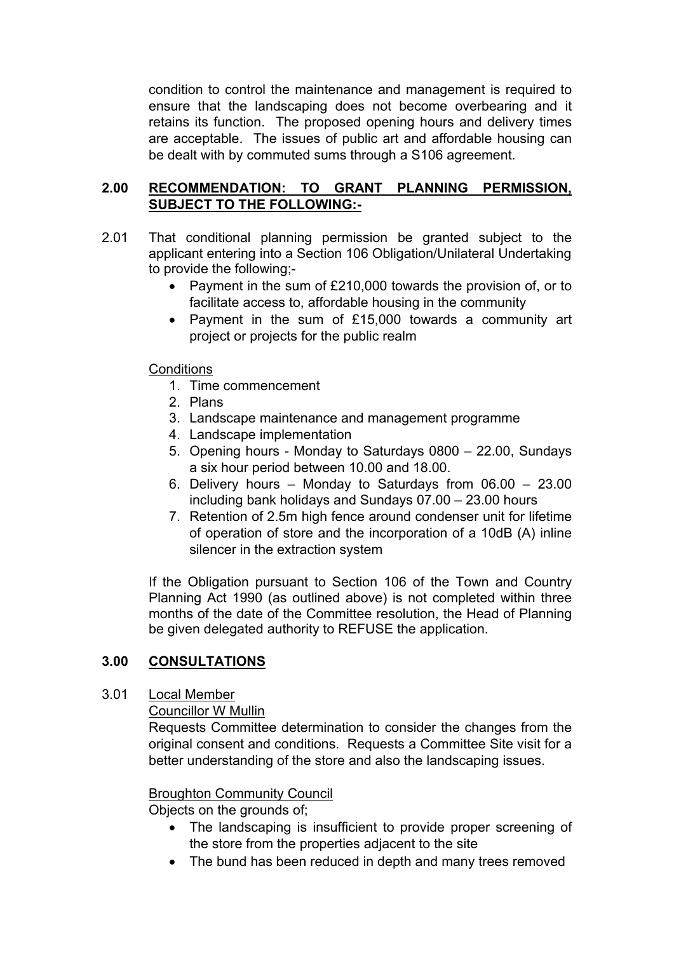condition to control the maintenance and management is required to ensure that the landscaping does not become overbearing and it retains its function. The proposed opening hours and delivery times are acceptable. The issues of public art and affordable housing can be dealt with by commuted sums through a S106 agreement.

# **2.00 RECOMMENDATION: TO GRANT PLANNING PERMISSION, SUBJECT TO THE FOLLOWING:-**

- 2.01 That conditional planning permission be granted subject to the applicant entering into a Section 106 Obligation/Unilateral Undertaking to provide the following;-
	- Payment in the sum of £210,000 towards the provision of, or to facilitate access to, affordable housing in the community
	- Payment in the sum of £15,000 towards a community art project or projects for the public realm

## **Conditions**

- 1. Time commencement
- 2. Plans
- 3. Landscape maintenance and management programme
- 4. Landscape implementation
- 5. Opening hours Monday to Saturdays 0800 22.00, Sundays a six hour period between 10.00 and 18.00.
- 6. Delivery hours Monday to Saturdays from 06.00 23.00 including bank holidays and Sundays 07.00 – 23.00 hours
- 7. Retention of 2.5m high fence around condenser unit for lifetime of operation of store and the incorporation of a 10dB (A) inline silencer in the extraction system

If the Obligation pursuant to Section 106 of the Town and Country Planning Act 1990 (as outlined above) is not completed within three months of the date of the Committee resolution, the Head of Planning be given delegated authority to REFUSE the application.

## **3.00 CONSULTATIONS**

## 3.01 Local Member

Councillor W Mullin

Requests Committee determination to consider the changes from the original consent and conditions. Requests a Committee Site visit for a better understanding of the store and also the landscaping issues.

## Broughton Community Council

Objects on the grounds of;

- The landscaping is insufficient to provide proper screening of the store from the properties adjacent to the site
- The bund has been reduced in depth and many trees removed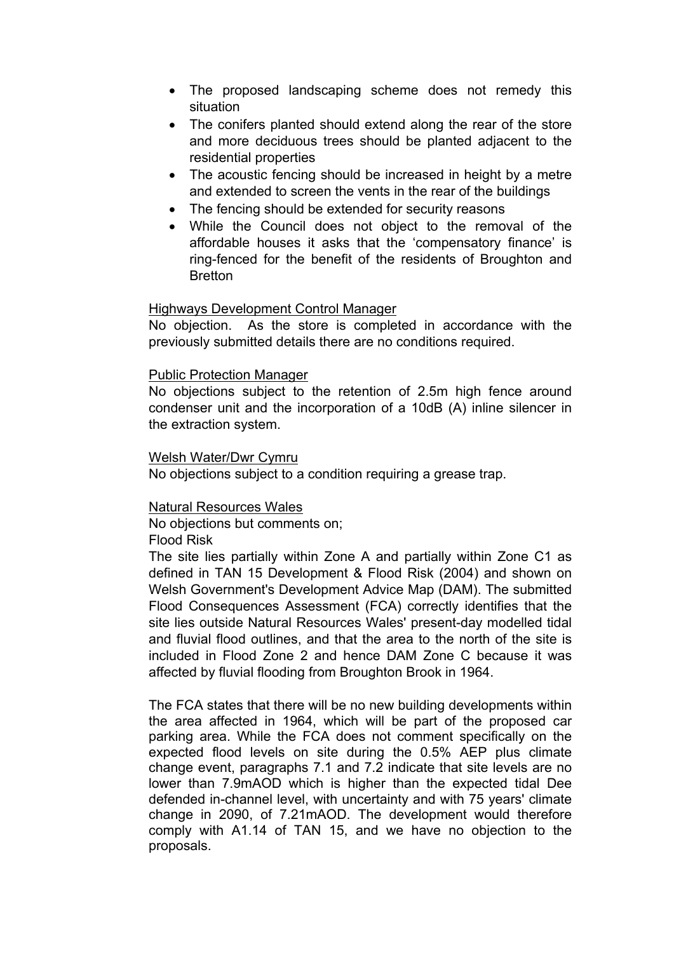- The proposed landscaping scheme does not remedy this situation
- The conifers planted should extend along the rear of the store and more deciduous trees should be planted adjacent to the residential properties
- The acoustic fencing should be increased in height by a metre and extended to screen the vents in the rear of the buildings
- The fencing should be extended for security reasons
- While the Council does not object to the removal of the affordable houses it asks that the 'compensatory finance' is ring-fenced for the benefit of the residents of Broughton and **Bretton**

### Highways Development Control Manager

No objection. As the store is completed in accordance with the previously submitted details there are no conditions required.

### Public Protection Manager

No objections subject to the retention of 2.5m high fence around condenser unit and the incorporation of a 10dB (A) inline silencer in the extraction system.

#### Welsh Water/Dwr Cymru

No objections subject to a condition requiring a grease trap.

#### Natural Resources Wales

No objections but comments on;

Flood Risk

The site lies partially within Zone A and partially within Zone C1 as defined in TAN 15 Development & Flood Risk (2004) and shown on Welsh Government's Development Advice Map (DAM). The submitted Flood Consequences Assessment (FCA) correctly identifies that the site lies outside Natural Resources Wales' present-day modelled tidal and fluvial flood outlines, and that the area to the north of the site is included in Flood Zone 2 and hence DAM Zone C because it was affected by fluvial flooding from Broughton Brook in 1964.

The FCA states that there will be no new building developments within the area affected in 1964, which will be part of the proposed car parking area. While the FCA does not comment specifically on the expected flood levels on site during the 0.5% AEP plus climate change event, paragraphs 7.1 and 7.2 indicate that site levels are no lower than 7.9mAOD which is higher than the expected tidal Dee defended in-channel level, with uncertainty and with 75 years' climate change in 2090, of 7.21mAOD. The development would therefore comply with A1.14 of TAN 15, and we have no objection to the proposals.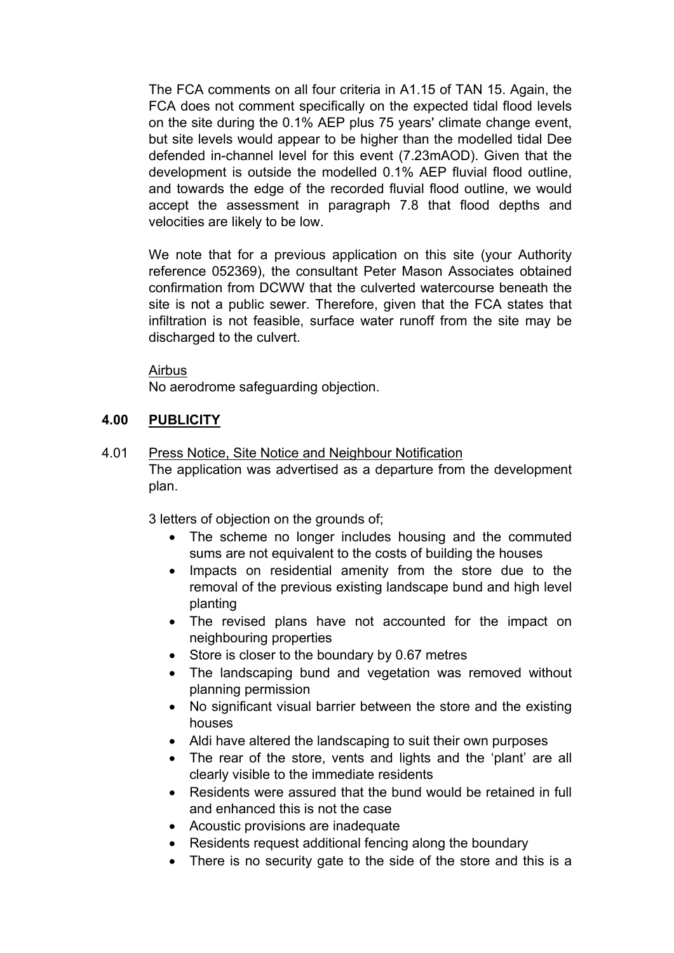The FCA comments on all four criteria in A1.15 of TAN 15. Again, the FCA does not comment specifically on the expected tidal flood levels on the site during the 0.1% AEP plus 75 years' climate change event, but site levels would appear to be higher than the modelled tidal Dee defended in-channel level for this event (7.23mAOD). Given that the development is outside the modelled 0.1% AEP fluvial flood outline, and towards the edge of the recorded fluvial flood outline, we would accept the assessment in paragraph 7.8 that flood depths and velocities are likely to be low.

We note that for a previous application on this site (your Authority reference 052369), the consultant Peter Mason Associates obtained confirmation from DCWW that the culverted watercourse beneath the site is not a public sewer. Therefore, given that the FCA states that infiltration is not feasible, surface water runoff from the site may be discharged to the culvert.

### Airbus

No aerodrome safeguarding objection.

## **4.00 PUBLICITY**

4.01 Press Notice, Site Notice and Neighbour Notification The application was advertised as a departure from the development plan.

3 letters of objection on the grounds of;

- The scheme no longer includes housing and the commuted sums are not equivalent to the costs of building the houses
- Impacts on residential amenity from the store due to the removal of the previous existing landscape bund and high level planting
- The revised plans have not accounted for the impact on neighbouring properties
- Store is closer to the boundary by 0.67 metres
- The landscaping bund and vegetation was removed without planning permission
- No significant visual barrier between the store and the existing houses
- Aldi have altered the landscaping to suit their own purposes
- The rear of the store, vents and lights and the 'plant' are all clearly visible to the immediate residents
- Residents were assured that the bund would be retained in full and enhanced this is not the case
- Acoustic provisions are inadequate
- Residents request additional fencing along the boundary
- There is no security gate to the side of the store and this is a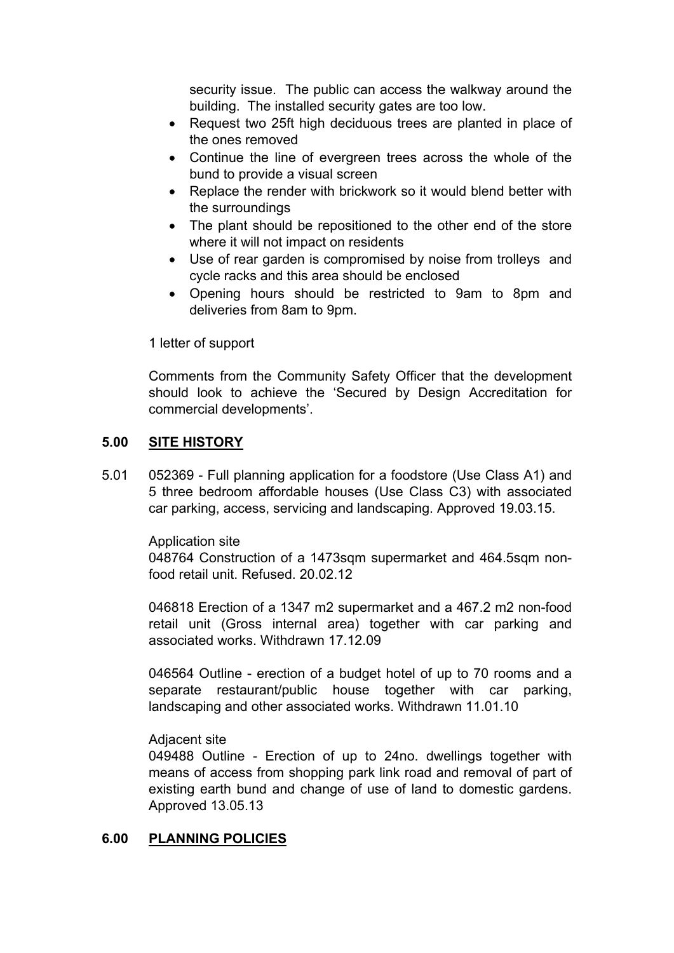security issue. The public can access the walkway around the building. The installed security gates are too low.

- Request two 25ft high deciduous trees are planted in place of the ones removed
- Continue the line of evergreen trees across the whole of the bund to provide a visual screen
- Replace the render with brickwork so it would blend better with the surroundings
- The plant should be repositioned to the other end of the store where it will not impact on residents
- Use of rear garden is compromised by noise from trolleys and cycle racks and this area should be enclosed
- Opening hours should be restricted to 9am to 8pm and deliveries from 8am to 9pm.

1 letter of support

Comments from the Community Safety Officer that the development should look to achieve the 'Secured by Design Accreditation for commercial developments'.

## **5.00 SITE HISTORY**

5.01 052369 - Full planning application for a foodstore (Use Class A1) and 5 three bedroom affordable houses (Use Class C3) with associated car parking, access, servicing and landscaping. Approved 19.03.15.

Application site

048764 Construction of a 1473sqm supermarket and 464.5sqm nonfood retail unit. Refused. 20.02.12

046818 Erection of a 1347 m2 supermarket and a 467.2 m2 non-food retail unit (Gross internal area) together with car parking and associated works. Withdrawn 17.12.09

046564 Outline - erection of a budget hotel of up to 70 rooms and a separate restaurant/public house together with car parking, landscaping and other associated works. Withdrawn 11.01.10

Adjacent site

049488 Outline - Erection of up to 24no. dwellings together with means of access from shopping park link road and removal of part of existing earth bund and change of use of land to domestic gardens. Approved 13.05.13

# **6.00 PLANNING POLICIES**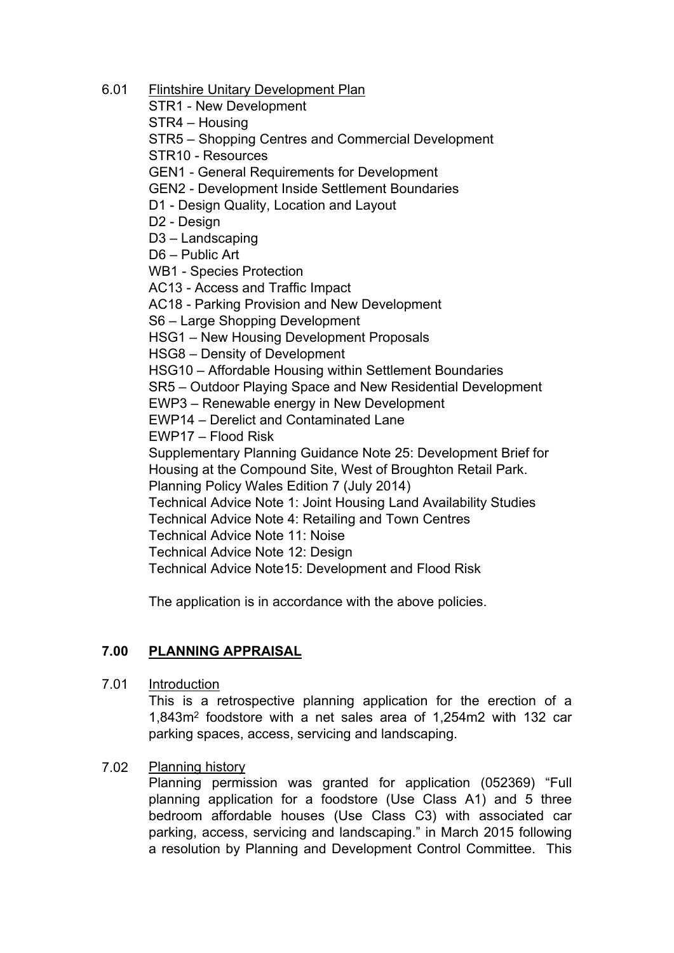- 6.01 Flintshire Unitary Development Plan
	- STR1 New Development
	- STR4 Housing
	- STR5 Shopping Centres and Commercial Development
	- STR10 Resources
	- GEN1 General Requirements for Development
	- GEN2 Development Inside Settlement Boundaries
	- D1 Design Quality, Location and Layout
	- D<sub>2</sub> Design
	- D3 Landscaping
	- D6 Public Art
	- WB1 Species Protection
	- AC13 Access and Traffic Impact
	- AC18 Parking Provision and New Development
	- S6 Large Shopping Development
	- HSG1 New Housing Development Proposals
	- HSG8 Density of Development
	- HSG10 Affordable Housing within Settlement Boundaries
	- SR5 Outdoor Playing Space and New Residential Development
	- EWP3 Renewable energy in New Development
	- EWP14 Derelict and Contaminated Lane
	- EWP17 Flood Risk
	- Supplementary Planning Guidance Note 25: Development Brief for Housing at the Compound Site, West of Broughton Retail Park.
	- Planning Policy Wales Edition 7 (July 2014)
	- Technical Advice Note 1: Joint Housing Land Availability Studies
	- Technical Advice Note 4: Retailing and Town Centres
	- Technical Advice Note 11: Noise
	- Technical Advice Note 12: Design
	- Technical Advice Note15: Development and Flood Risk
	- The application is in accordance with the above policies.

# **7.00 PLANNING APPRAISAL**

- 7.01 Introduction
	- This is a retrospective planning application for the erection of a 1,843m<sup>2</sup> foodstore with a net sales area of 1,254m2 with 132 car parking spaces, access, servicing and landscaping.

#### 7.02 Planning history

Planning permission was granted for application (052369) "Full planning application for a foodstore (Use Class A1) and 5 three bedroom affordable houses (Use Class C3) with associated car parking, access, servicing and landscaping." in March 2015 following a resolution by Planning and Development Control Committee. This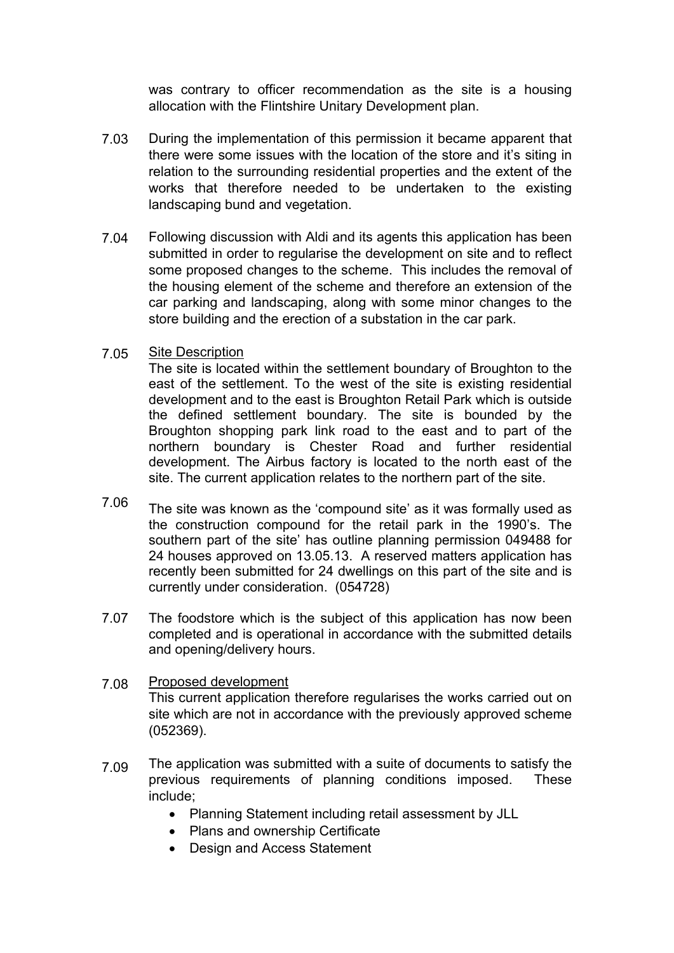was contrary to officer recommendation as the site is a housing allocation with the Flintshire Unitary Development plan.

- 7.03 During the implementation of this permission it became apparent that there were some issues with the location of the store and it's siting in relation to the surrounding residential properties and the extent of the works that therefore needed to be undertaken to the existing landscaping bund and vegetation.
- 7.04 Following discussion with Aldi and its agents this application has been submitted in order to regularise the development on site and to reflect some proposed changes to the scheme. This includes the removal of the housing element of the scheme and therefore an extension of the car parking and landscaping, along with some minor changes to the store building and the erection of a substation in the car park.
- 7.05 Site Description

The site is located within the settlement boundary of Broughton to the east of the settlement. To the west of the site is existing residential development and to the east is Broughton Retail Park which is outside the defined settlement boundary. The site is bounded by the Broughton shopping park link road to the east and to part of the northern boundary is Chester Road and further residential development. The Airbus factory is located to the north east of the site. The current application relates to the northern part of the site.

- 7.06 The site was known as the 'compound site' as it was formally used as the construction compound for the retail park in the 1990's. The southern part of the site' has outline planning permission 049488 for 24 houses approved on 13.05.13. A reserved matters application has recently been submitted for 24 dwellings on this part of the site and is currently under consideration. (054728)
- 7.07 The foodstore which is the subject of this application has now been completed and is operational in accordance with the submitted details and opening/delivery hours.
- 7.08 Proposed development This current application therefore regularises the works carried out on site which are not in accordance with the previously approved scheme (052369).
- 7.09 The application was submitted with a suite of documents to satisfy the previous requirements of planning conditions imposed. These include;
	- Planning Statement including retail assessment by JLL
	- Plans and ownership Certificate
	- Design and Access Statement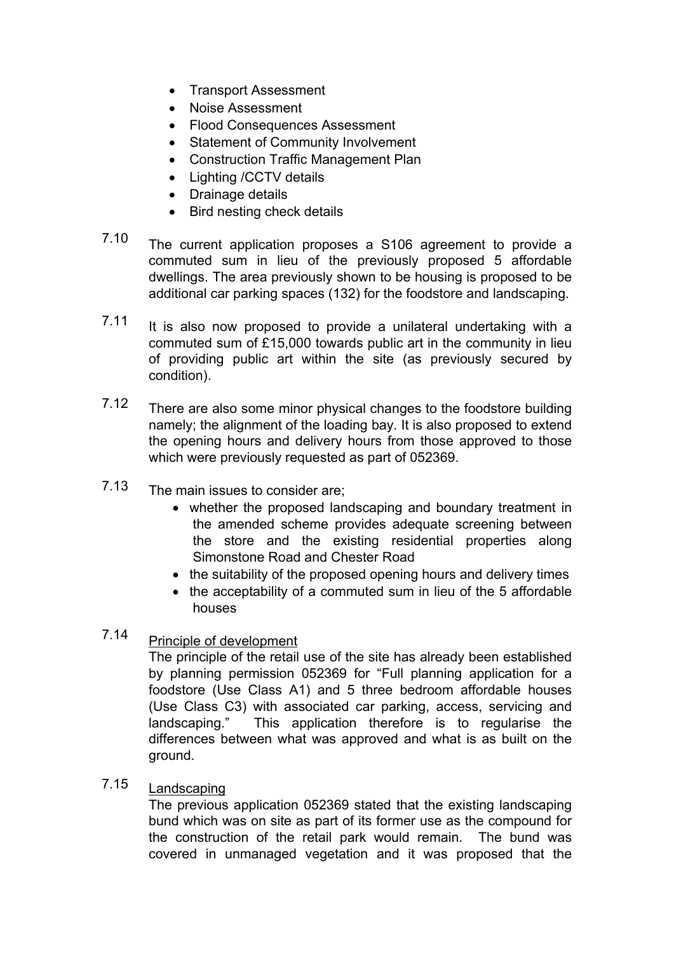- Transport Assessment
- Noise Assessment
- Flood Consequences Assessment
- Statement of Community Involvement
- Construction Traffic Management Plan
- Lighting / CCTV details
- Drainage details
- Bird nesting check details
- 7.10 The current application proposes a S106 agreement to provide a commuted sum in lieu of the previously proposed 5 affordable dwellings. The area previously shown to be housing is proposed to be additional car parking spaces (132) for the foodstore and landscaping.
- 7.11 It is also now proposed to provide a unilateral undertaking with a commuted sum of £15,000 towards public art in the community in lieu of providing public art within the site (as previously secured by condition).
- 7.12 There are also some minor physical changes to the foodstore building namely; the alignment of the loading bay. It is also proposed to extend the opening hours and delivery hours from those approved to those which were previously requested as part of 052369.
- 7.13 The main issues to consider are;
	- whether the proposed landscaping and boundary treatment in the amended scheme provides adequate screening between the store and the existing residential properties along Simonstone Road and Chester Road
	- the suitability of the proposed opening hours and delivery times
	- the acceptability of a commuted sum in lieu of the 5 affordable houses
- 7.14 Principle of development

The principle of the retail use of the site has already been established by planning permission 052369 for "Full planning application for a foodstore (Use Class A1) and 5 three bedroom affordable houses (Use Class C3) with associated car parking, access, servicing and landscaping." This application therefore is to regularise the differences between what was approved and what is as built on the ground.

7.15 Landscaping

> The previous application 052369 stated that the existing landscaping bund which was on site as part of its former use as the compound for the construction of the retail park would remain. The bund was covered in unmanaged vegetation and it was proposed that the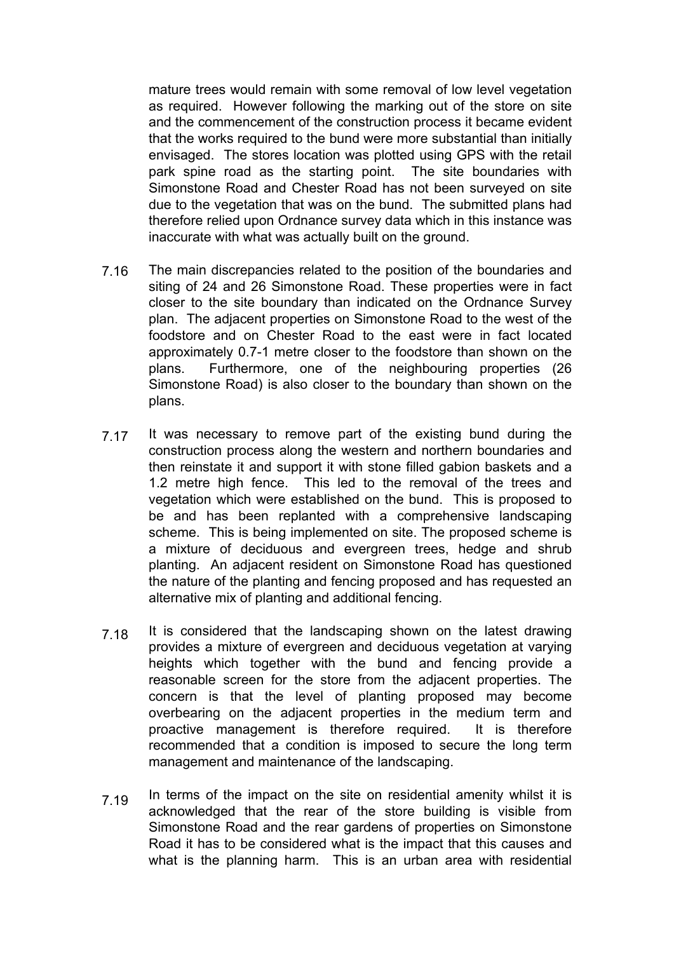mature trees would remain with some removal of low level vegetation as required. However following the marking out of the store on site and the commencement of the construction process it became evident that the works required to the bund were more substantial than initially envisaged. The stores location was plotted using GPS with the retail park spine road as the starting point. The site boundaries with Simonstone Road and Chester Road has not been surveyed on site due to the vegetation that was on the bund. The submitted plans had therefore relied upon Ordnance survey data which in this instance was inaccurate with what was actually built on the ground.

- 7.16 The main discrepancies related to the position of the boundaries and siting of 24 and 26 Simonstone Road. These properties were in fact closer to the site boundary than indicated on the Ordnance Survey plan. The adjacent properties on Simonstone Road to the west of the foodstore and on Chester Road to the east were in fact located approximately 0.7-1 metre closer to the foodstore than shown on the plans. Furthermore, one of the neighbouring properties (26 Simonstone Road) is also closer to the boundary than shown on the plans.
- 7.17 It was necessary to remove part of the existing bund during the construction process along the western and northern boundaries and then reinstate it and support it with stone filled gabion baskets and a 1.2 metre high fence. This led to the removal of the trees and vegetation which were established on the bund. This is proposed to be and has been replanted with a comprehensive landscaping scheme. This is being implemented on site. The proposed scheme is a mixture of deciduous and evergreen trees, hedge and shrub planting. An adjacent resident on Simonstone Road has questioned the nature of the planting and fencing proposed and has requested an alternative mix of planting and additional fencing.
- 7.18 It is considered that the landscaping shown on the latest drawing provides a mixture of evergreen and deciduous vegetation at varying heights which together with the bund and fencing provide a reasonable screen for the store from the adjacent properties. The concern is that the level of planting proposed may become overbearing on the adjacent properties in the medium term and proactive management is therefore required. It is therefore recommended that a condition is imposed to secure the long term management and maintenance of the landscaping.
- 7.19 In terms of the impact on the site on residential amenity whilst it is acknowledged that the rear of the store building is visible from Simonstone Road and the rear gardens of properties on Simonstone Road it has to be considered what is the impact that this causes and what is the planning harm. This is an urban area with residential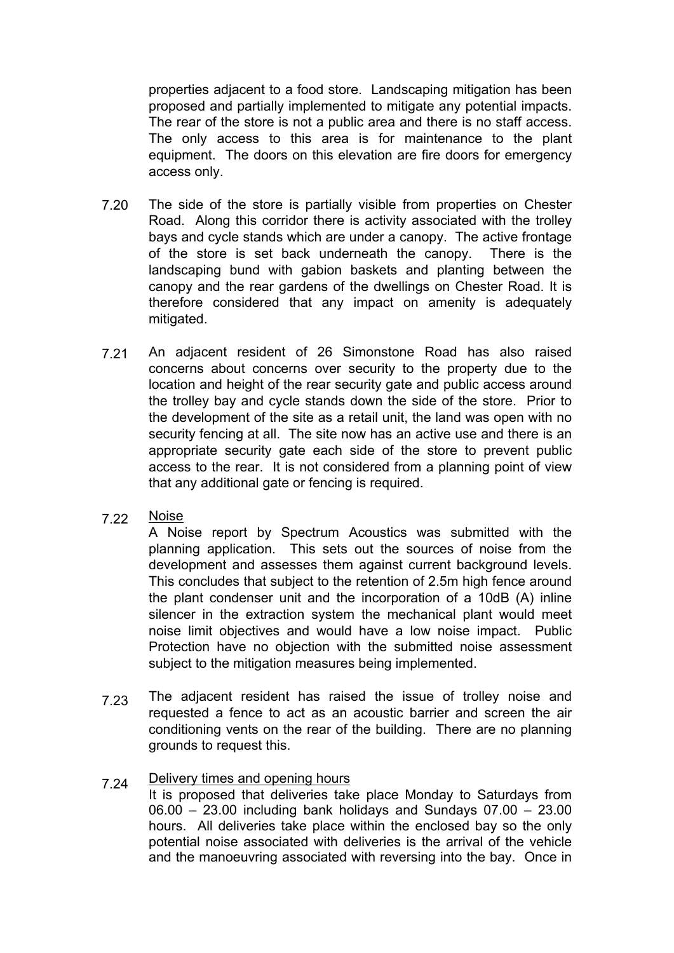properties adjacent to a food store. Landscaping mitigation has been proposed and partially implemented to mitigate any potential impacts. The rear of the store is not a public area and there is no staff access. The only access to this area is for maintenance to the plant equipment. The doors on this elevation are fire doors for emergency access only.

- 7.20 The side of the store is partially visible from properties on Chester Road. Along this corridor there is activity associated with the trolley bays and cycle stands which are under a canopy. The active frontage of the store is set back underneath the canopy. There is the landscaping bund with gabion baskets and planting between the canopy and the rear gardens of the dwellings on Chester Road. It is therefore considered that any impact on amenity is adequately mitigated.
- 7.21 An adjacent resident of 26 Simonstone Road has also raised concerns about concerns over security to the property due to the location and height of the rear security gate and public access around the trolley bay and cycle stands down the side of the store. Prior to the development of the site as a retail unit, the land was open with no security fencing at all. The site now has an active use and there is an appropriate security gate each side of the store to prevent public access to the rear. It is not considered from a planning point of view that any additional gate or fencing is required.
- 7.22 Noise

A Noise report by Spectrum Acoustics was submitted with the planning application. This sets out the sources of noise from the development and assesses them against current background levels. This concludes that subject to the retention of 2.5m high fence around the plant condenser unit and the incorporation of a 10dB (A) inline silencer in the extraction system the mechanical plant would meet noise limit objectives and would have a low noise impact. Public Protection have no objection with the submitted noise assessment subject to the mitigation measures being implemented.

7.23 The adjacent resident has raised the issue of trolley noise and requested a fence to act as an acoustic barrier and screen the air conditioning vents on the rear of the building. There are no planning grounds to request this.

#### 7.24 Delivery times and opening hours

It is proposed that deliveries take place Monday to Saturdays from 06.00 – 23.00 including bank holidays and Sundays 07.00 – 23.00 hours. All deliveries take place within the enclosed bay so the only potential noise associated with deliveries is the arrival of the vehicle and the manoeuvring associated with reversing into the bay. Once in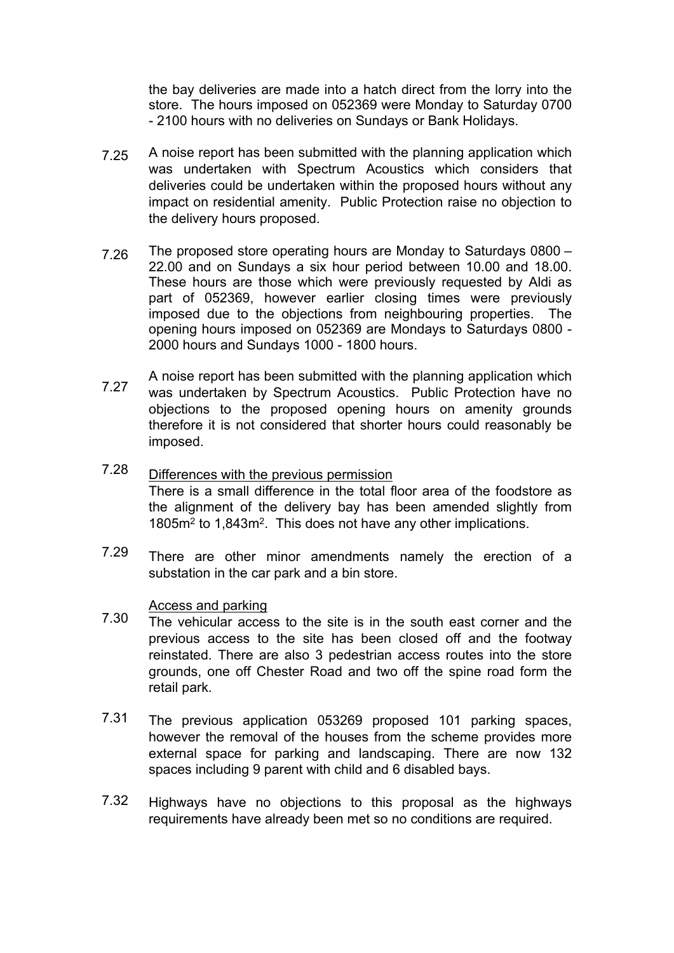the bay deliveries are made into a hatch direct from the lorry into the store. The hours imposed on 052369 were Monday to Saturday 0700 - 2100 hours with no deliveries on Sundays or Bank Holidays.

- 7.25 A noise report has been submitted with the planning application which was undertaken with Spectrum Acoustics which considers that deliveries could be undertaken within the proposed hours without any impact on residential amenity. Public Protection raise no objection to the delivery hours proposed.
- 7.26 The proposed store operating hours are Monday to Saturdays 0800 – 22.00 and on Sundays a six hour period between 10.00 and 18.00. These hours are those which were previously requested by Aldi as part of 052369, however earlier closing times were previously imposed due to the objections from neighbouring properties. The opening hours imposed on 052369 are Mondays to Saturdays 0800 - 2000 hours and Sundays 1000 - 1800 hours.
- 7.27 A noise report has been submitted with the planning application which was undertaken by Spectrum Acoustics. Public Protection have no objections to the proposed opening hours on amenity grounds therefore it is not considered that shorter hours could reasonably be imposed.
- 7.28 Differences with the previous permission There is a small difference in the total floor area of the foodstore as the alignment of the delivery bay has been amended slightly from 1805m<sup>2</sup> to 1,843m<sup>2</sup> . This does not have any other implications.
- 7.29 There are other minor amendments namely the erection of a substation in the car park and a bin store.

## Access and parking

- 7.30 The vehicular access to the site is in the south east corner and the previous access to the site has been closed off and the footway reinstated. There are also 3 pedestrian access routes into the store grounds, one off Chester Road and two off the spine road form the retail park.
- 7.31 The previous application 053269 proposed 101 parking spaces, however the removal of the houses from the scheme provides more external space for parking and landscaping. There are now 132 spaces including 9 parent with child and 6 disabled bays.
- 7.32 Highways have no objections to this proposal as the highways requirements have already been met so no conditions are required.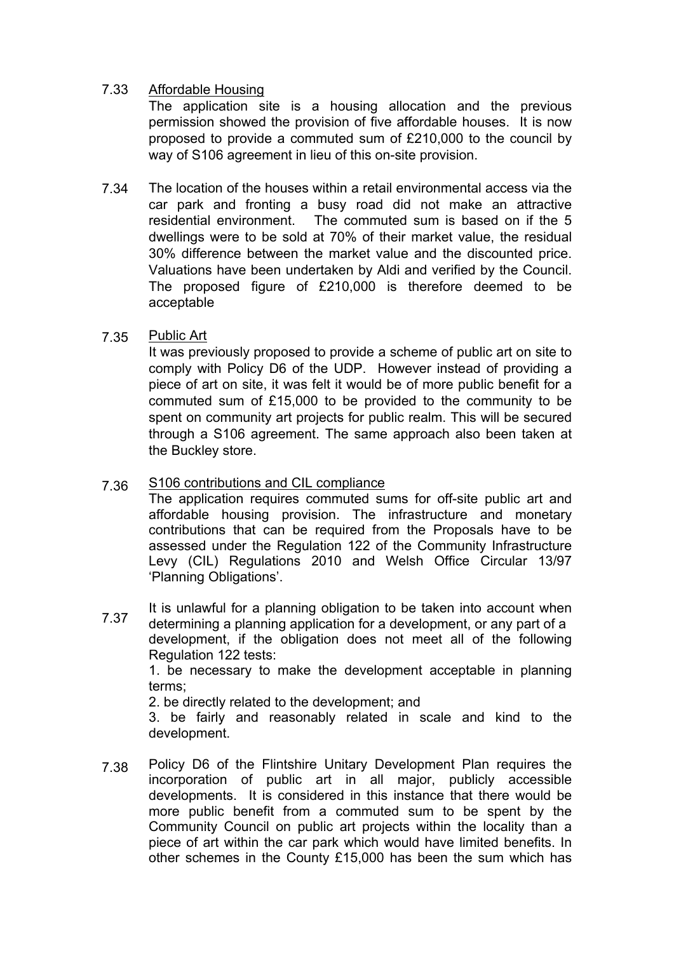#### 7.33 Affordable Housing

The application site is a housing allocation and the previous permission showed the provision of five affordable houses. It is now proposed to provide a commuted sum of £210,000 to the council by way of S106 agreement in lieu of this on-site provision.

7.34 The location of the houses within a retail environmental access via the car park and fronting a busy road did not make an attractive residential environment. The commuted sum is based on if the 5 dwellings were to be sold at 70% of their market value, the residual 30% difference between the market value and the discounted price. Valuations have been undertaken by Aldi and verified by the Council. The proposed figure of £210,000 is therefore deemed to be acceptable

#### 7.35 Public Art

It was previously proposed to provide a scheme of public art on site to comply with Policy D6 of the UDP. However instead of providing a piece of art on site, it was felt it would be of more public benefit for a commuted sum of £15,000 to be provided to the community to be spent on community art projects for public realm. This will be secured through a S106 agreement. The same approach also been taken at the Buckley store.

#### 7.36 S106 contributions and CIL compliance

The application requires commuted sums for off-site public art and affordable housing provision. The infrastructure and monetary contributions that can be required from the Proposals have to be assessed under the Regulation 122 of the Community Infrastructure Levy (CIL) Regulations 2010 and Welsh Office Circular 13/97 'Planning Obligations'.

7.37 It is unlawful for a planning obligation to be taken into account when determining a planning application for a development, or any part of a development, if the obligation does not meet all of the following Regulation 122 tests:

1. be necessary to make the development acceptable in planning terms;

2. be directly related to the development; and

3. be fairly and reasonably related in scale and kind to the development.

7.38 Policy D6 of the Flintshire Unitary Development Plan requires the incorporation of public art in all major, publicly accessible developments. It is considered in this instance that there would be more public benefit from a commuted sum to be spent by the Community Council on public art projects within the locality than a piece of art within the car park which would have limited benefits. In other schemes in the County £15,000 has been the sum which has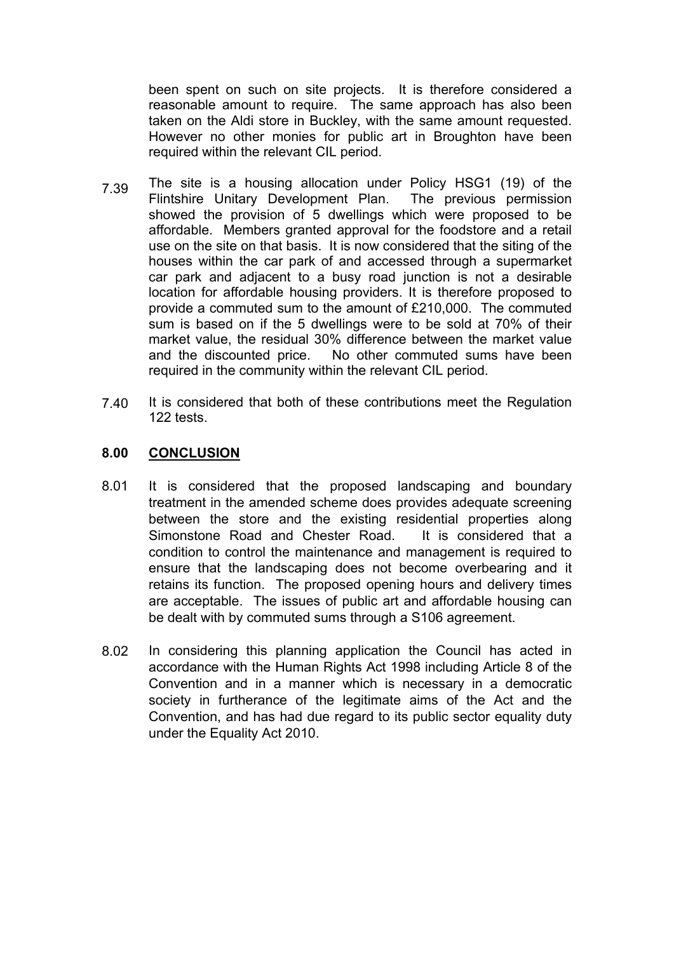been spent on such on site projects. It is therefore considered a reasonable amount to require. The same approach has also been taken on the Aldi store in Buckley, with the same amount requested. However no other monies for public art in Broughton have been required within the relevant CIL period.

- 7.39 The site is a housing allocation under Policy HSG1 (19) of the Flintshire Unitary Development Plan. The previous permission showed the provision of 5 dwellings which were proposed to be affordable. Members granted approval for the foodstore and a retail use on the site on that basis. It is now considered that the siting of the houses within the car park of and accessed through a supermarket car park and adjacent to a busy road junction is not a desirable location for affordable housing providers. It is therefore proposed to provide a commuted sum to the amount of £210,000. The commuted sum is based on if the 5 dwellings were to be sold at 70% of their market value, the residual 30% difference between the market value and the discounted price. No other commuted sums have been required in the community within the relevant CIL period.
- 7.40 It is considered that both of these contributions meet the Regulation 122 tests.

## **8.00 CONCLUSION**

- 8.01 It is considered that the proposed landscaping and boundary treatment in the amended scheme does provides adequate screening between the store and the existing residential properties along Simonstone Road and Chester Road. It is considered that a condition to control the maintenance and management is required to ensure that the landscaping does not become overbearing and it retains its function. The proposed opening hours and delivery times are acceptable. The issues of public art and affordable housing can be dealt with by commuted sums through a S106 agreement.
- 8.02 In considering this planning application the Council has acted in accordance with the Human Rights Act 1998 including Article 8 of the Convention and in a manner which is necessary in a democratic society in furtherance of the legitimate aims of the Act and the Convention, and has had due regard to its public sector equality duty under the Equality Act 2010.